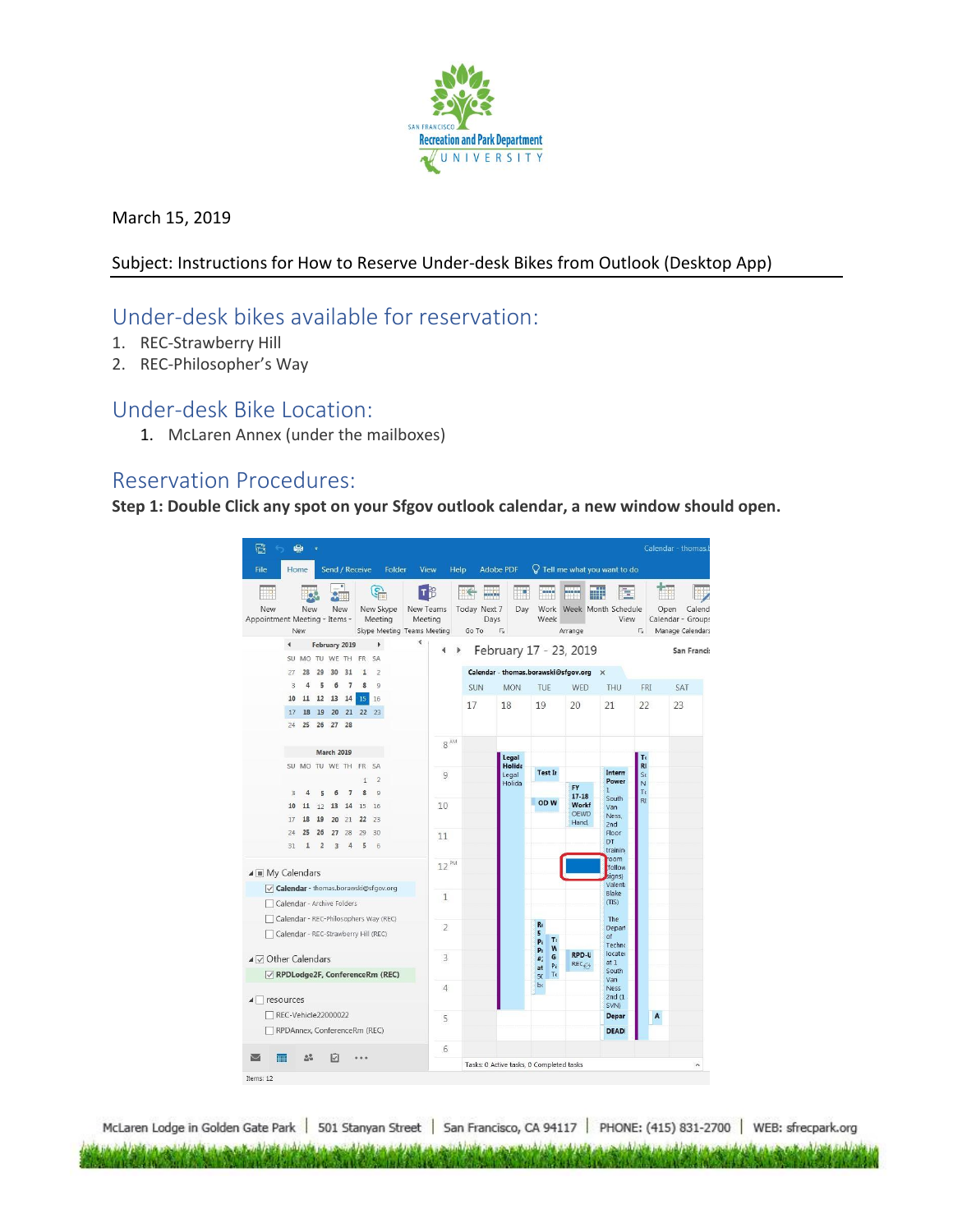

March 15, 2019

## Subject: Instructions for How to Reserve Under-desk Bikes from Outlook (Desktop App)

## Under-desk bikes available for reservation:

- 1. REC-Strawberry Hill
- 2. REC-Philosopher's Way

## Under-desk Bike Location:

1. McLaren Annex (under the mailboxes)

## Reservation Procedures:

**Step 1: Double Click any spot on your Sfgov outlook calendar, a new window should open.**



McLaren Lodge in Golden Gate Park | 501 Stanyan Street | San Francisco, CA 94117 | PHONE: (415) 831-2700 | WEB: sfrecpark.org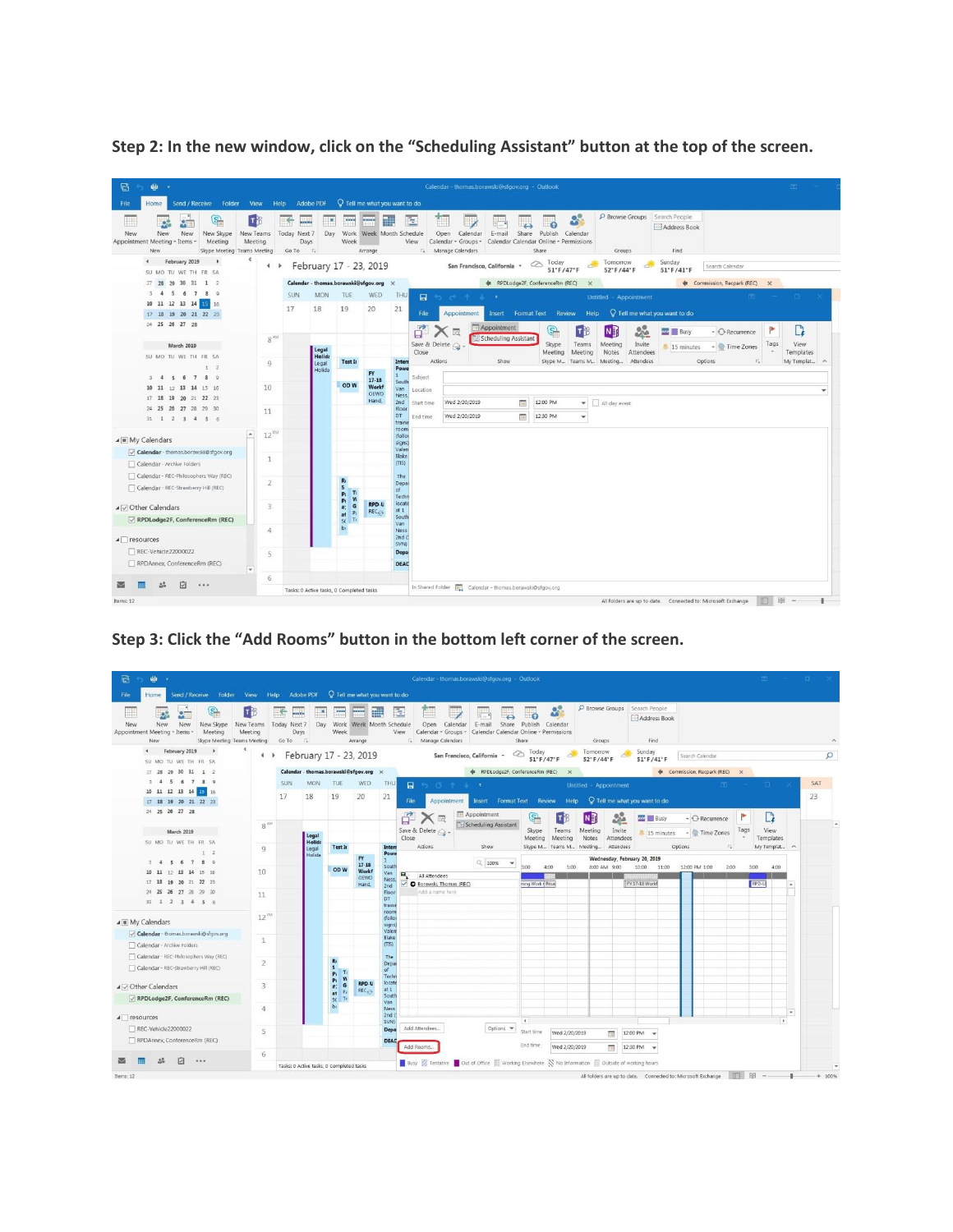

**Step 2: In the new window, click on the "Scheduling Assistant" button at the top of the screen.**

**Step 3: Click the "Add Rooms" button in the bottom left corner of the screen.**

| 層<br>$\mathbf{e}$ :                                                                                                   |                             |                                               |                                          |                                                          |                           |                           |                                                                                    | Calendar - thomas.borawski@sfgov.org - Outlook                                                 |                                      |                                |                        |                               |                             |                                                                        |      | <b>BELLET AND STRUCK</b> |          |        |
|-----------------------------------------------------------------------------------------------------------------------|-----------------------------|-----------------------------------------------|------------------------------------------|----------------------------------------------------------|---------------------------|---------------------------|------------------------------------------------------------------------------------|------------------------------------------------------------------------------------------------|--------------------------------------|--------------------------------|------------------------|-------------------------------|-----------------------------|------------------------------------------------------------------------|------|--------------------------|----------|--------|
| Send / Receive Folder View Help Adobe PDF $\bigcirc$ Tell me what you want to do<br>File<br>Home                      |                             |                                               |                                          |                                                          |                           |                           |                                                                                    |                                                                                                |                                      |                                |                        |                               |                             |                                                                        |      |                          |          |        |
| G<br>New<br>New Skype<br>New<br>New<br>Meeting<br>Appointment Meeting - Items -<br>Skype Meeting Teams Meeting<br>New | Τij<br>New Teams<br>Meeting | ÷<br>exete<br>Today Next 7<br>Days<br>Go To F | m                                        | <b>AND</b><br>Day Work Week Month Schedule<br>Week       | <b>BARRA</b><br>Arrange   | 鄦                         | 医<br>Calendar<br>Open<br>View<br>Calendar - Groups -<br><b>IS</b> Manage Calendars | E-mail<br>Share<br>Calendar Calendar Online - Permissions                                      | Publish<br>Share                     | Calendar                       | Groups                 | P Browse Groups Search People | Address Book<br>Find        |                                                                        |      |                          |          |        |
| February 2019<br>$\rightarrow$<br>SU MO TU WE TH FR SA                                                                |                             | + > February 17 - 23, 2019                    |                                          |                                                          |                           |                           |                                                                                    |                                                                                                | Today<br>$51^\circ$ F/47 $^\circ$ F  |                                | Tomorrow<br>52°F/44°F  |                               | Sunday<br>$51^\circ$ F/41°F | Search Calendar                                                        |      |                          |          | Q      |
| 27 28 29 30 31 1 2                                                                                                    |                             |                                               | Calendar - thomas.borawski@sfgov.org X   |                                                          |                           |                           |                                                                                    | RPDLodge2F, ConferenceRm (REC)                                                                 |                                      | $\times$                       |                        |                               |                             | Commission, Recpark (REC) X                                            |      |                          |          |        |
| 3 4 5 6 7 8 9                                                                                                         |                             | SUN                                           | MON.                                     | TUE                                                      | WED                       | THU                       | $\Box$<br>$-5$ $-0$ $+$ $+$ $+$                                                    |                                                                                                |                                      |                                | Untitled - Appointment |                               |                             | $\sqrt{15.6}$                                                          |      | 2.80%                    |          | SAT    |
| 10 11 12 13 14 15 16<br>17 18 19 20 21 22 23                                                                          |                             | 17                                            | 18                                       | 19                                                       | 20                        | 21                        | Appointment<br>File                                                                | Insert Format Text Review Help $\bigcirc$ Tell me what you want to do                          |                                      |                                |                        |                               |                             |                                                                        |      |                          |          | 23     |
| 24 25 26 27 28                                                                                                        | 8 <sup>AM</sup>             |                                               |                                          |                                                          |                           |                           | ď                                                                                  | Appointment<br>Scheduling Assistant                                                            | $\mathcal{E}$                        |                                |                        | $\frac{1}{2}$                 | <b>222 Busy</b>             | - <i>C</i> Recurrence                                                  |      | Ľì                       |          | $\sim$ |
| <b>March 2019</b>                                                                                                     |                             |                                               | Legal                                    |                                                          |                           |                           | Save & Delete $\bigcirc$ -<br>Close                                                |                                                                                                | Skype<br>Meeting                     | Teams<br>Meeting               | Meeting<br>Notes       | Invite<br>Attendees           | 15 minutes                  | - Time Zones                                                           | Tags | View<br>Templates        |          |        |
| SU MO TU WE TH FR SA<br>$1 \t2$                                                                                       | $\overline{9}$              |                                               | Holida<br>Legal                          | Test In                                                  |                           | Inter                     | Actions                                                                            | Show                                                                                           |                                      | Skype M Teams M Meeting        |                        | Attendees                     |                             | Options<br>$\sqrt{2}$                                                  |      | My Templat               | $\wedge$ |        |
| 3 4 5 6 7 8 9                                                                                                         |                             |                                               | Holida                                   |                                                          | <b>FY</b>                 | Powe<br>п.                |                                                                                    | $Q_{100\%}$<br>$\mathbf{v}$                                                                    |                                      |                                |                        | Wednesday, February 20, 2019  |                             |                                                                        |      |                          |          |        |
| 10 11 12 13 14 15 16                                                                                                  | $10^{\circ}$                |                                               |                                          | OD W                                                     | $17 - 18$<br>World        | South<br>Van              | E                                                                                  |                                                                                                | 3:00                                 | 4:00<br>5:00                   | 8:00 AM 9:00           |                               | 10:00<br>11:00              | 12:00 PM 1:00<br>2:00                                                  |      | 3:00<br>4:00             |          |        |
| 17 18 19 20 21 22 23                                                                                                  |                             |                                               |                                          |                                                          | <b>OEWD</b><br>Hand.      | Ness<br>2nd               | All Attendees<br>Sorawski, Thomas (REC)                                            |                                                                                                | ning Work   Prius                    |                                |                        |                               | FY 17-18 World              |                                                                        |      | RPD-U                    |          |        |
|                                                                                                                       | 11                          |                                               |                                          |                                                          |                           | Floor                     | Add a name here                                                                    |                                                                                                |                                      |                                |                        |                               |                             |                                                                        |      |                          |          |        |
| 31 1 2 3 4 5 6                                                                                                        |                             |                                               |                                          |                                                          |                           | DT<br>traini              |                                                                                    |                                                                                                |                                      |                                |                        |                               |                             |                                                                        |      |                          |          |        |
| A III My Calendars                                                                                                    | $12^{p}$                    |                                               |                                          |                                                          |                           | room<br>(follo)<br>signs  |                                                                                    |                                                                                                |                                      |                                |                        |                               |                             |                                                                        |      |                          |          |        |
| Calendar - thomas.borawski@sfgov.org                                                                                  |                             |                                               |                                          |                                                          |                           | Valer<br>Blake            |                                                                                    |                                                                                                |                                      |                                |                        |                               |                             |                                                                        |      |                          |          |        |
| Calendar - Archive Folders                                                                                            | $\mathbf{1}$                |                                               |                                          |                                                          |                           | (TIS)                     |                                                                                    |                                                                                                |                                      |                                |                        |                               |                             |                                                                        |      |                          |          |        |
| Calendar - REC-Philosophers Way (REC)                                                                                 |                             |                                               |                                          |                                                          |                           | The                       |                                                                                    |                                                                                                |                                      |                                |                        |                               |                             |                                                                        |      |                          |          |        |
| Calendar - REC-Strawberry Hill (REC)                                                                                  | $\overline{2}$              |                                               |                                          | $\overline{\phantom{a}}$<br>n<br>$P_i$<br>P <sub>1</sub> |                           | Depa<br>of<br>Techn       |                                                                                    |                                                                                                |                                      |                                |                        |                               |                             |                                                                        |      |                          |          |        |
| $\triangleleft$ $\triangledown$ Other Calendars                                                                       | 3                           |                                               |                                          | $\mathbf{G}$<br>$\mathbf{r}$<br>$P_i$                    | RPD-U<br>REC <sub>6</sub> | locate<br>at <sub>1</sub> |                                                                                    |                                                                                                |                                      |                                |                        |                               |                             |                                                                        |      |                          |          |        |
| RPDLodge2F, ConferenceRm (REC)                                                                                        |                             |                                               |                                          | at<br>To<br>50                                           |                           | South<br>Van              |                                                                                    |                                                                                                |                                      |                                |                        |                               |                             |                                                                        |      |                          |          |        |
| 4 resources                                                                                                           | $\cdot$                     |                                               |                                          | be                                                       |                           | Ness<br>2nd <sub>1</sub>  |                                                                                    |                                                                                                |                                      |                                |                        |                               |                             |                                                                        |      | $\mathbf{F}$             | $\star$  |        |
| REC-Vehicle22000022                                                                                                   | 5                           |                                               |                                          |                                                          |                           | SVN)<br>Depa              | Add Attendees                                                                      | Options $\blacktriangledown$                                                                   | $\left  \cdot \right $<br>Start time |                                |                        |                               |                             |                                                                        |      |                          |          |        |
| RPDAnnex, ConferenceRm (REC)                                                                                          |                             |                                               |                                          |                                                          |                           | DEAD                      | Add Rooms                                                                          |                                                                                                | End time                             | Wed 2/20/2019<br>Wed 2/20/2019 |                        | 丽<br>曲<br>12:30 PM            | 12:00 PM -                  |                                                                        |      |                          |          |        |
| И<br>                                                                                                                 | 6                           |                                               | Tasks: 0 Active tasks, 0 Completed tasks |                                                          |                           |                           |                                                                                    | Busy & Tentative C Out of Office S Working Elsewhere S No Information Cutside of working hours |                                      |                                |                        |                               |                             |                                                                        |      |                          |          |        |
| Bems: 12                                                                                                              |                             |                                               |                                          |                                                          |                           |                           |                                                                                    |                                                                                                |                                      |                                |                        |                               |                             | All folders are up to date Connected for Microsoft Exchange [11 [68] = |      |                          | л.       |        |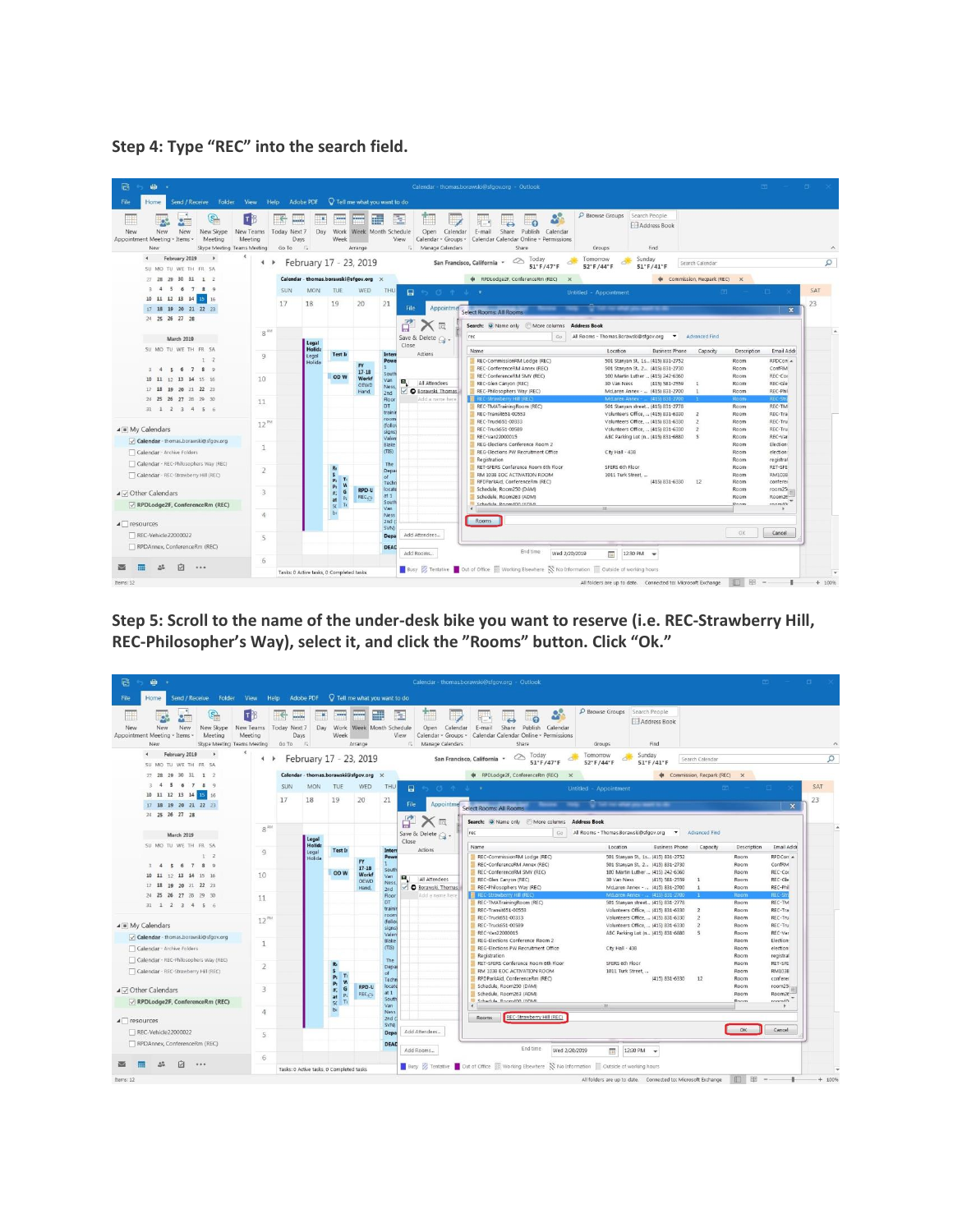**Step 4: Type "REC" into the search field.**



**Step 5: Scroll to the name of the under-desk bike you want to reserve (i.e. REC-Strawberry Hill, REC-Philosopher's Way), select it, and click the "Rooms" button. Click "Ok."**